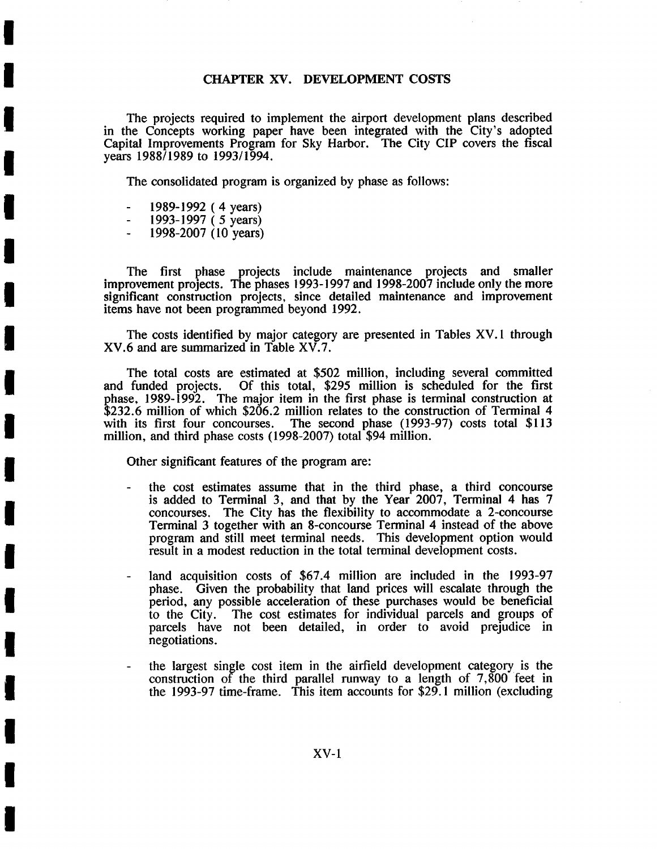### CHAPTER XV. DEVELOPMENT COSTS

The projects required to implement the airport development plans described in the Concepts working paper have been integrated with the City's adopted Capital Improvements Program for Sky Harbor. The City CIP covers the fiscal years 1988/1989 to 1993/1994.

The consolidated program is organized by phase as follows:

1989-1992 ( 4 years)

**I** 

**I** 

**I** 

**I** 

**I** 

**I** 

**I** 

**I** 

**I** 

**I** 

**I** 

**I** 

**I** 

**I** 

**I** 

**I** 

**I** 

**!** 

- 1993-1997 ( 5 years)
- 1998-2007 (10 years)

The first phase projects include maintenance projects and smaller improvement projects. The phases 1993-1997 and 1998-2007 include only the more significant construction projects, since detailed maintenance and improvement items have not been programmed beyond 1992.

The costs identified by major category are presented in Tables XV. 1 through XV.6 and are summarized in Table XV.7.

The total costs are estimated at \$502 million, including several committed and funded projects. Of this total, \$295 million is scheduled for the first Of this total, \$295 million is scheduled for the first **<sup>~</sup>**hase, 1989-1992. The major item in the first phase is terminal construction at \$232.6 million of which \$206.2 million relates to the construction of Terminal 4 with its first four concourses. The second phase (1993-97) costs total \$113 million, and third phase costs (1998-2007) total \$94 million.

Other significant features of the program are:

- the cost estimates assume that in the third phase, a third concourse is added to Terminal 3, and that by the Year 2007, Terminal 4 has 7 concourses. The City has the flexibility to accommodate a 2-concourse Terminal 3 together with an 8-concourse Terminal 4 instead of the above program and still meet terminal needs. This development option would result in a modest reduction in the total terminal development costs.
- land acquisition costs of \$67.4 million are included in the 1993-97 phase. Given the probability that land prices will escalate through the period, any possible acceleration of these purchases would be beneficial to the City. The cost estimates for individual parcels and groups of parcels have not been detailed, in order to avoid prejudice in negotiations.
- the largest single cost item in the airfield development category is the construction of the third parallel runway to a length of 7,800 feet in the 1993-97 time-frame. This item accounts for \$29.1 million (excluding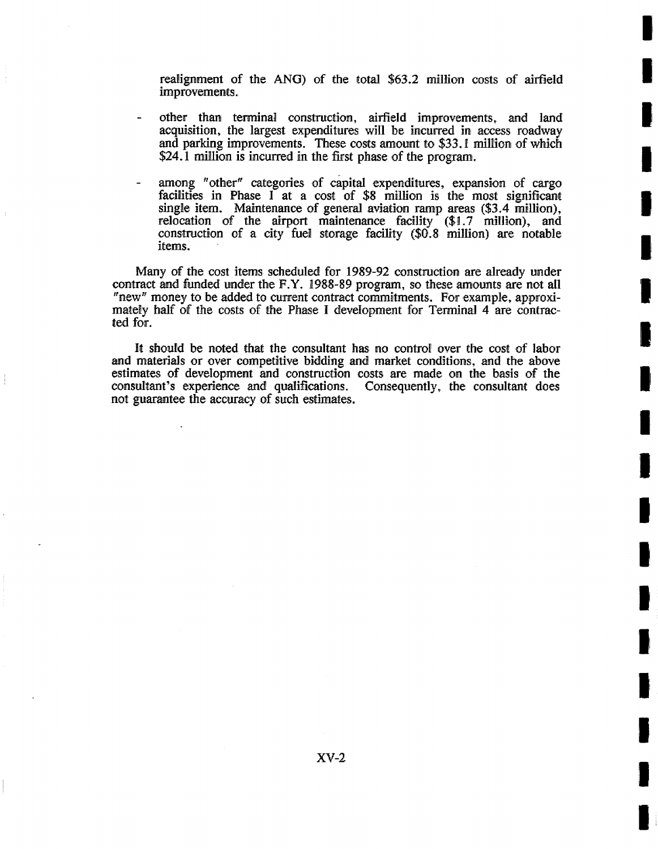realignment of the ANG) of the total  $$63.2$  million costs of airfield improvements.

**m <sup>i</sup>**

**I** 

**I** 

**I** 

**I** 

I

**I** 

**I** 

**I** 

**I** 

**I** 

**I** 

**I** 

**I** 

**I** 

- other than terminal construction, airfield improvements, and land acquisition, the largest expenditures will be incurred in access roadway and parking improvements. These costs amount to \$33. l million of which \$24.1 million is incurred in the first phase of the program.
- among "other" categories of capital expenditures, expansion of cargo facilities in Phase  $I$  at a cost of \$8 million is the most significant single item. Maintenance of general aviation ramp areas (\$3.4 million), relocation of the airport maintenance facility (\$1.7 million), and construction of a city fuel storage facility (\$0.8 million) are notable items.

Many of the cost items scheduled for 1989-92 construction are already under contract and funded under the F.Y. 1988-89 program, so these amounts are not all "new" money to be added to current contract commitments. For example, approximately half of the costs of the Phase I development for Terminal 4 are contracted for.

It should be noted that the consultant has no control over the cost of labor and materials or over competitive bidding and market conditions, and the above estimates of development and construction costs are made on the basis of the consultant's experience and qualifications. Consequently, the consultant does consultant's experience and qualifications. not guarantee the accuracy of such estimates.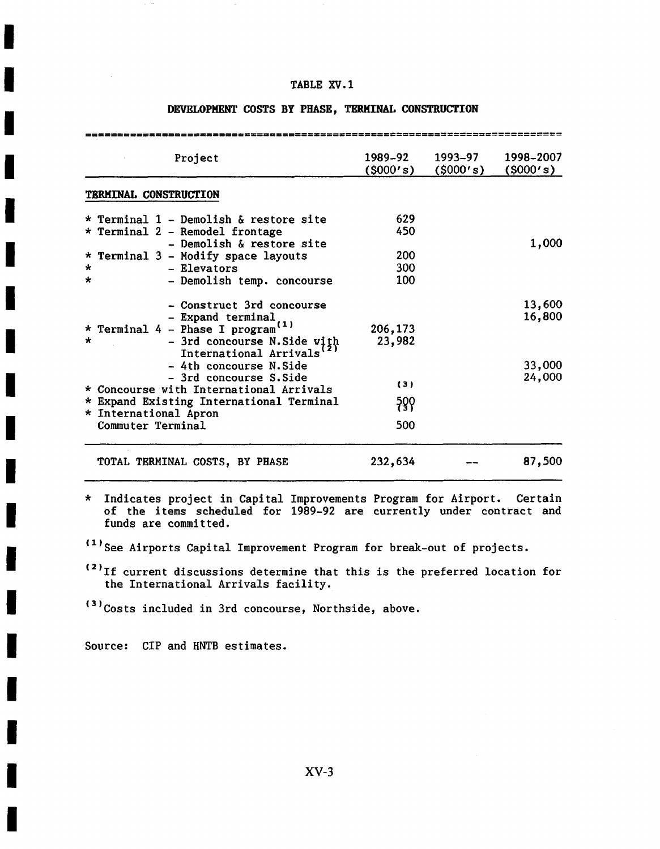| Project                                                            | 1989–92<br>(5000's) | 1993–97<br>(\$000's) | 1998-2007<br>(5000's) |
|--------------------------------------------------------------------|---------------------|----------------------|-----------------------|
| <b>TERMINAL CONSTRUCTION</b>                                       |                     |                      |                       |
| * Terminal 1 - Demolish & restore site                             | 629                 |                      |                       |
| * Terminal 2 - Remodel frontage                                    | 450                 |                      |                       |
| - Demolish & restore site                                          |                     |                      | 1,000                 |
| * Terminal 3 - Modify space layouts                                | 200                 |                      |                       |
| - Elevators<br>$\star$                                             | 300                 |                      |                       |
| - Demolish temp. concourse<br>*                                    | 100                 |                      |                       |
| - Construct 3rd concourse                                          |                     |                      | 13,600                |
|                                                                    |                     |                      | 16,800                |
| - Expand terminal<br>* Terminal 4 - Phase I program <sup>(1)</sup> | 206,173             |                      |                       |
| $\star$<br>- 3rd concourse N. Side with                            | 23,982              |                      |                       |
| International Arrivals                                             |                     |                      |                       |
| - 4th concourse N. Side                                            |                     |                      | 33,000                |
| - 3rd concourse S. Side                                            |                     |                      | 24,000                |
| * Concourse with International Arrivals                            | (3)                 |                      |                       |
| * Expand Existing International Terminal                           | ခု၀္၀               |                      |                       |
| * International Apron                                              |                     |                      |                       |
| Commuter Terminal                                                  | 500                 |                      |                       |
| TOTAL TERMINAL COSTS, BY PHASE                                     | 232,634             |                      | 87,500                |

### **DEVELOPMENT COSTS BY PHASE, TERMINAL CONSTRUCTION**

\* Indicates project in Capital Improvements Program for Airport. Certain of the items scheduled for 1989-92 are currently under contract and **I** funds are committed.

(1)See Airports Capital Improvement Program for break-out of projects.

**'-'If current discussions determine that this is the preferred location for** the International Arrivals facility.

<sup>(3)</sup>Costs included in 3rd concourse, Northside, above.

Source: CIP and HNTB estimates.

**I** 

**I** 

**I** 

**I** 

**I** 

**i** 

**I** 

**I** 

**I** 

**I** 

**!** 

**!** 

**I** 

**I** 

**i** 

**I**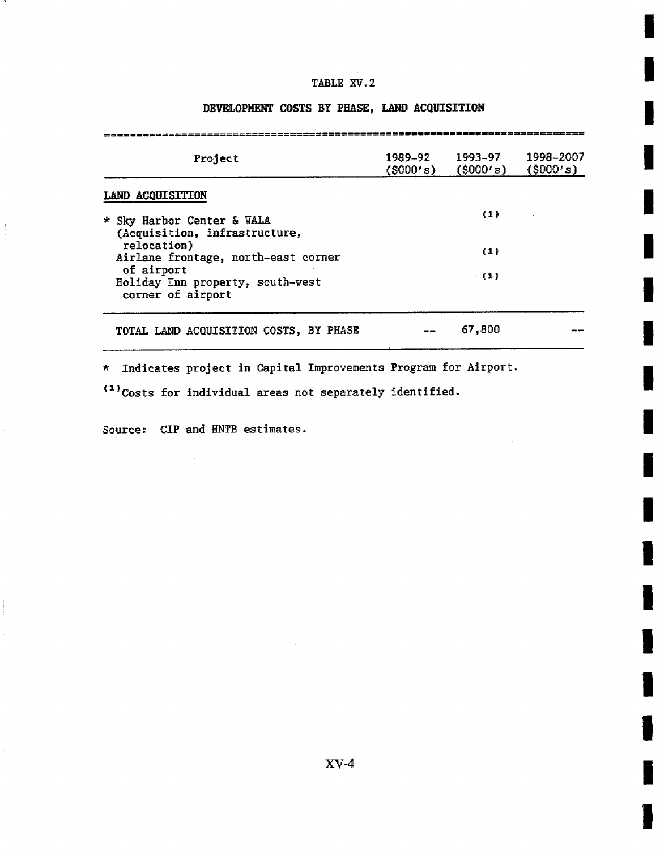**I** 

**I** 

**I** 

**m** ,

**I** 

**!** 

**II** 

**I** I

I,

**I** 

**I** 

**I** 

**I** 

**I** 

**I** 

**I** 

**I** 

**I** 

**I** 

# DEVELOPMENT' COSTS BY PHASE, LAND ACQUISITION

| Project                                                                   | 1989–92<br>(5000's) | 1993–97<br>(S000's) | 1998-2007<br>(5000's) |
|---------------------------------------------------------------------------|---------------------|---------------------|-----------------------|
| LAND ACQUISITION                                                          |                     |                     |                       |
| * Sky Harbor Center & WALA<br>(Acquisition, infrastructure,               |                     | (1)                 |                       |
| relocation)<br>Airlane frontage, north-east corner                        |                     | 11 <sup>1</sup>     |                       |
| of airport<br>Holiday Inn property, south-west<br>corner of airport       |                     | (1)                 |                       |
| TOTAL LAND ACQUISITION COSTS, BY PHASE                                    |                     | 67,800              |                       |
| Indicates project in Capital Improvements Program for Airport.<br>$\star$ |                     |                     |                       |

 $(1)$ Costs for individual areas not separately identified.

Source: CIP and HNTB estimates.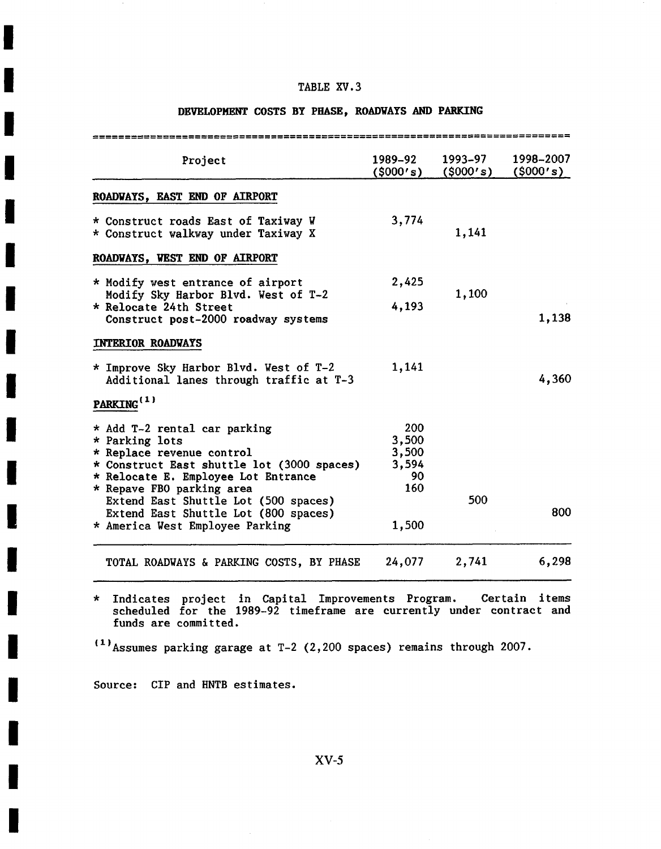# DEVELOPMENT COSTS BY PHASE, ROADWAYS AND PARKING

| Project                                                                                                                                                                                       | 1989-92<br>(\$000's)                        | 1993-97<br>(\$000's) | 1998-2007<br>(5000's) |
|-----------------------------------------------------------------------------------------------------------------------------------------------------------------------------------------------|---------------------------------------------|----------------------|-----------------------|
| ROADWAYS, EAST END OF AIRPORT                                                                                                                                                                 |                                             |                      |                       |
| * Construct roads East of Taxiway W<br>* Construct walkway under Taxiway X                                                                                                                    | 3,774                                       | 1,141                |                       |
| ROADVAYS, VEST END OF AIRPORT                                                                                                                                                                 |                                             |                      |                       |
| * Modify west entrance of airport                                                                                                                                                             | 2,425                                       |                      |                       |
| Modify Sky Harbor Blvd. West of T-2<br>* Relocate 24th Street<br>Construct post-2000 roadway systems                                                                                          | 4,193                                       | 1,100                | 1,138                 |
| <b>INTERIOR ROADWAYS</b>                                                                                                                                                                      |                                             |                      |                       |
| * Improve Sky Harbor Blvd. West of T-2<br>Additional lanes through traffic at T-3                                                                                                             | 1,141                                       |                      | 4,360                 |
| PARKING <sup>(1)</sup>                                                                                                                                                                        |                                             |                      |                       |
| * Add T-2 rental car parking<br>* Parking lots<br>* Replace revenue control<br>* Construct East shuttle lot (3000 spaces)<br>* Relocate E. Employee Lot Entrance<br>* Repave FBO parking area | 200<br>3,500<br>3,500<br>3,594<br>90<br>160 |                      |                       |
| Extend East Shuttle Lot (500 spaces)<br>Extend East Shuttle Lot (800 spaces)<br>* America West Employee Parking                                                                               | 1,500                                       | 500                  | 800                   |
| TOTAL ROADWAYS & PARKING COSTS, BY PHASE                                                                                                                                                      | 24,077                                      | 2,741                | 6,298                 |

Indicates project in Capital Improvements Program. Certain items scheduled for the 1989-92 timeframe are currently under contract and funds are committed.

 $(1)$  Assumes parking garage at T-2 (2,200 spaces) remains through 2007.

Source: CIP and HNTB estimates.

**!** 

**!** 

**I** 

**I** 

**!** 

**!** 

**i** 

**I** 

**!** 

**!** 

**!** 

**I** 

**I** 

**I** 

**I** 

**I** 

**!**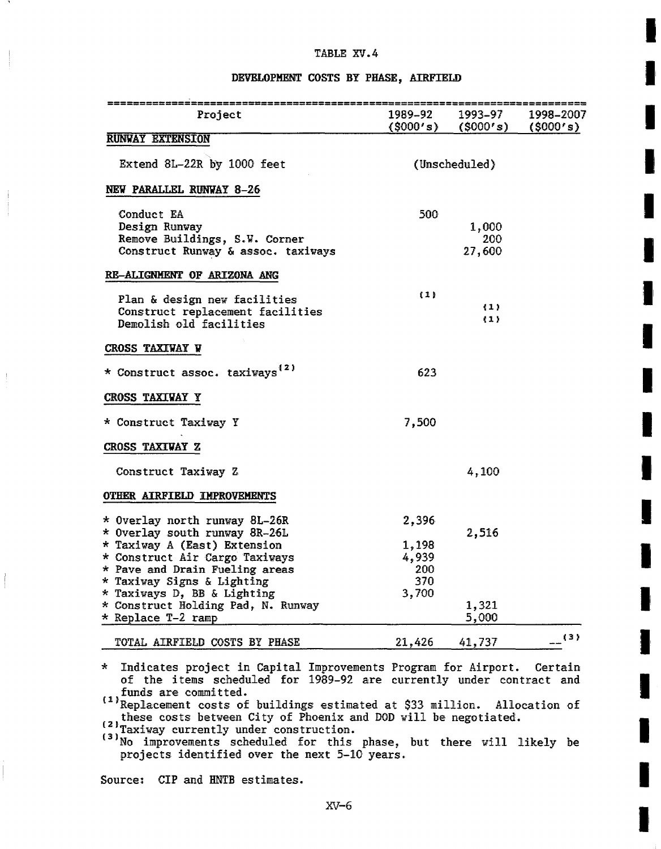**I** 

**I** 

**I** 

I'

**I** 

**I** 

**I** 

**I** 

I

**I** 

**I** 

**I** 

**I** 

#### DEVELOPMENT COSTS BY PHASE, AIRFIELD

| Project                                                                                            | 1989–92             | 1993–97<br>$(5000's)$ $(5000's)$ $(5000's)$ | 1998–2007 |
|----------------------------------------------------------------------------------------------------|---------------------|---------------------------------------------|-----------|
| <b>RUNVAY EXTENSION</b>                                                                            |                     |                                             |           |
| Extend 8L-22R by 1000 feet                                                                         | (Unscheduled)       |                                             |           |
| NEW PARALLEL RUNVAY 8-26                                                                           |                     |                                             |           |
| Conduct EA<br>Design Runway<br>Remove Buildings, S.W. Corner<br>Construct Runway & assoc. taxiways | 500                 | 1,000<br>200<br>27,600                      |           |
| RE-ALIGNMENT OF ARIZONA ANG                                                                        |                     |                                             |           |
| Plan & design new facilities<br>Construct replacement facilities<br>Demolish old facilities        | (1)                 | $\{1\}$<br>(1)                              |           |
| CROSS TAXIVAY W                                                                                    |                     |                                             |           |
| * Construct assoc. taxiways <sup>(2)</sup>                                                         | 623                 |                                             |           |
| <b>CROSS TAXIWAY Y</b>                                                                             |                     |                                             |           |
| * Construct Taxiway Y                                                                              | 7,500               |                                             |           |
| CROSS TAXIWAY Z                                                                                    |                     |                                             |           |
| Construct Taxiway Z                                                                                |                     | 4,100                                       |           |
| OTHER AIRFIELD IMPROVEMENTS                                                                        |                     |                                             |           |
| * Overlay north runway 8L-26R                                                                      | 2,396               |                                             |           |
| * Overlay south runway 8R-26L<br>* Taxiway A (East) Extension<br>* Construct Air Cargo Taxiways    | 1,198<br>4,939      | 2,516                                       |           |
| * Pave and Drain Fueling areas<br>* Taxiway Signs & Lighting<br>* Taxiways D, BB & Lighting        | 200<br>370<br>3,700 |                                             |           |
| * Construct Holding Pad, N. Runway<br>* Replace T-2 ramp                                           |                     | 1,321<br>5,000                              |           |
| TOTAL AIRFIELD COSTS BY PHASE                                                                      | 21,426              | 41,737                                      | (3)       |

\* Indicates project in Capital Improvements Program for Airport. Certain of the items scheduled for 1989-92 are currently under contract and funds are committed.

''Replacement costs ot buildings estimated at \$33 million. Allocation of these costs: between City of Phoenix and D09 will be negotiated.

(21Taxiway currently under construction.

(3)No improvements scheduled for this phase, but there will likely be projects identified over the next 5-10 years.

Source: CIP and HNTB estimates.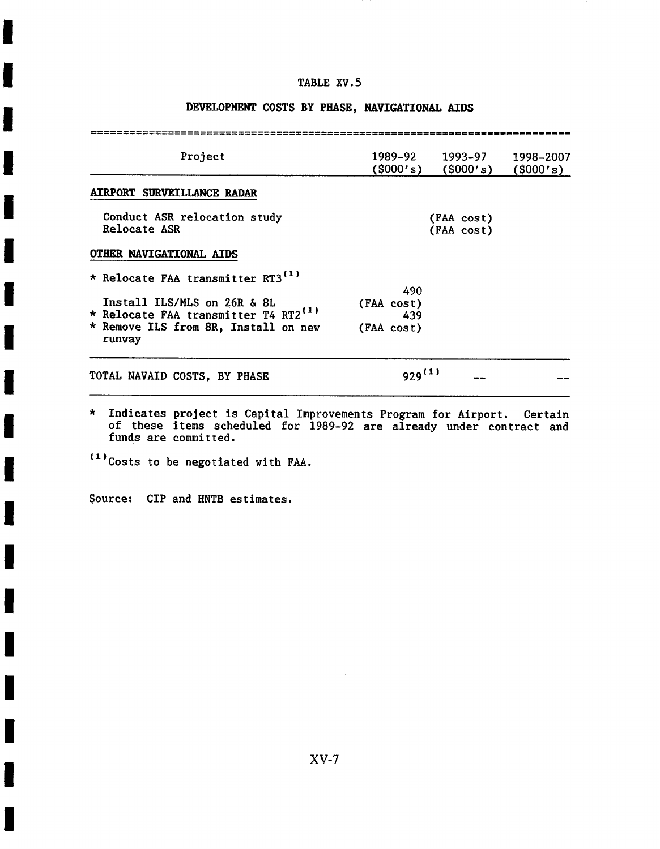# **DEVELOPMENT COSTS BY PHASE, NAVIGATIONAL AIDS**

| Project                                          | 1989–92<br>(5000's)      | 1993–97<br>(5000's) | 1998-2007<br>(S000's) |
|--------------------------------------------------|--------------------------|---------------------|-----------------------|
| <b>AIRPORT SURVEILLANCE RADAR</b>                |                          |                     |                       |
| Conduct ASR relocation study<br>Relocate ASR     | (FAA cost)<br>(FAA cost) |                     |                       |
| OTHER NAVIGATIONAL AIDS                          |                          |                     |                       |
| * Relocate FAA transmitter RT3 <sup>(1)</sup>    |                          |                     |                       |
|                                                  | 490                      |                     |                       |
| Install ILS/MLS on 26R & 8L                      | (FAA cost)               |                     |                       |
| * Relocate FAA transmitter T4 RT2 <sup>(1)</sup> | 439                      |                     |                       |
| * Remove ILS from 8R, Install on new<br>runway   | (FAA cost)               |                     |                       |
| TOTAL NAVAID COSTS, BY PHASE                     | $929^{(1)}$              |                     |                       |
|                                                  |                          |                     |                       |

Indicates project is Capital Improvements Program for Airport. Certain of these items scheduled for 1989-92 are already under contract and funds are committed.

Source: CIP and HNTB estimates.

**!** 

**!** 

**!** 

**I** 

**i** 

**i** 

**I** 

**I** 

**I** 

I

**I** 

**!** 

**I** 

**!** 

**!** 

**!** 

**I** 

**i** 

<sup>(1)</sup>Costs to be negotiated with FAA.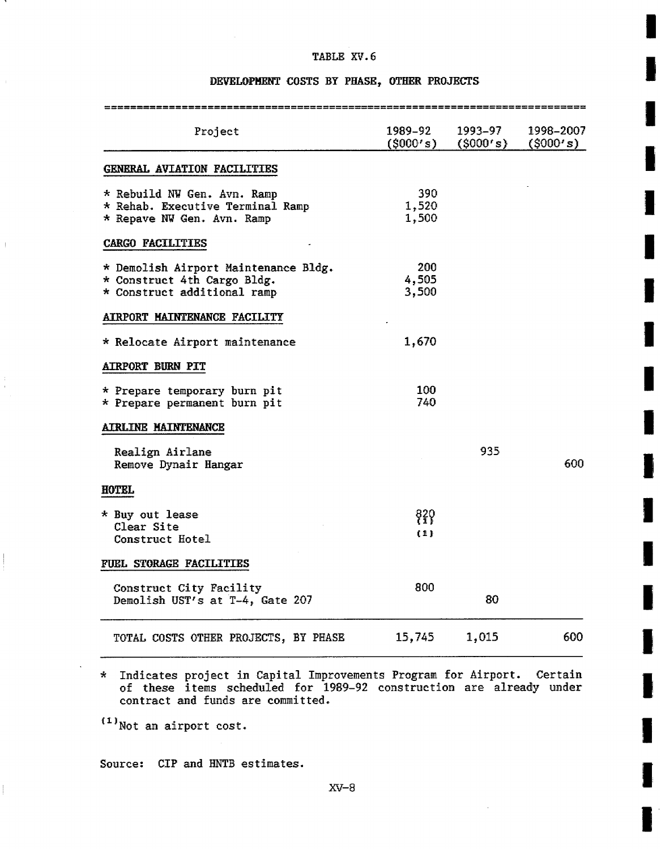**I** 

**I** 

i

**!** 

**!** 

**I** 

**I** 

**i** 

**!** 

**i** 

**i** 

**!** 

**I** 

**!** 

# **DEVELOPMENT COSTS BY** PHASE, OTHER PROJECTS

|                                                                                                    |                       | ========================= |                        |
|----------------------------------------------------------------------------------------------------|-----------------------|---------------------------|------------------------|
| Project                                                                                            | 1989–92<br>(5000's)   | 1993–97<br>(5000's)       | 1998–2007<br>(\$000's) |
| GENERAL AVIATION FACILITIES                                                                        |                       |                           |                        |
| * Rebuild NW Gen. Avn. Ramp<br>* Rehab. Executive Terminal Ramp<br>* Repave NW Gen. Avn. Ramp      | 390<br>1,520<br>1,500 |                           |                        |
| <b>CARGO FACILITIES</b>                                                                            |                       |                           |                        |
| * Demolish Airport Maintenance Bldg.<br>* Construct 4th Cargo Bldg.<br>* Construct additional ramp | 200<br>4,505<br>3,500 |                           |                        |
| AIRPORT MAINTENANCE FACILITY                                                                       |                       |                           |                        |
| * Relocate Airport maintenance                                                                     | 1,670                 |                           |                        |
| <b>AIRPORT BURN PIT</b>                                                                            |                       |                           |                        |
| * Prepare temporary burn pit<br>* Prepare permanent burn pit                                       | 100<br>740            |                           |                        |
| <b>AIRLINE MAINTENANCE</b>                                                                         |                       |                           |                        |
| Realign Airlane<br>Remove Dynair Hangar                                                            |                       | 935                       | 600                    |
| <b>HOTEL</b>                                                                                       |                       |                           |                        |
| * Buy out lease<br>Clear Site<br>Construct Hotel                                                   | 820<br>(1)            |                           |                        |
| FUEL STORAGE FACILITIES                                                                            |                       |                           |                        |
| Construct City Facility<br>Demolish UST's at T-4, Gate 207                                         | 800                   | 80                        |                        |
| TOTAL COSTS OTHER PROJECTS, BY PHASE                                                               | 15,745                | 1,015                     | 600                    |

Indicates project in Capital Improvements Program for Airport. Certain of these items scheduled for 1989-92 construction are already under contract and funds are committed.

 $(1)$ Not an airport cost.

Source: CIP and HNTB estimates.